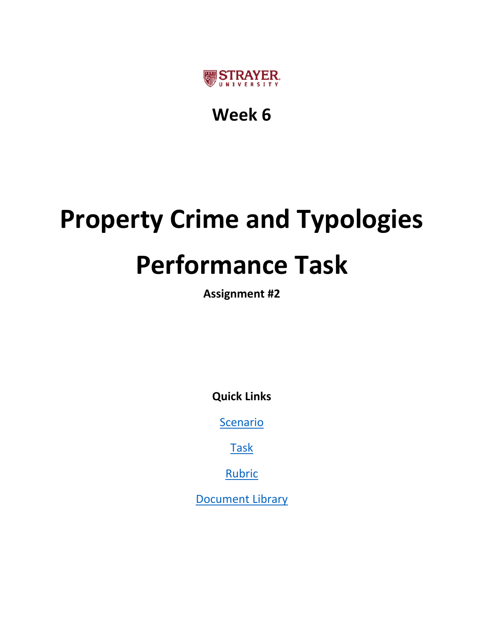

## **Week 6**

# **Property Crime and Typologies Performance Task**

**Assignment #2**

**Quick Links**

**[Scenario](#page-1-0)** 

[Task](#page-2-0)

[Rubric](#page-3-0)

[Document Library](#page-4-0)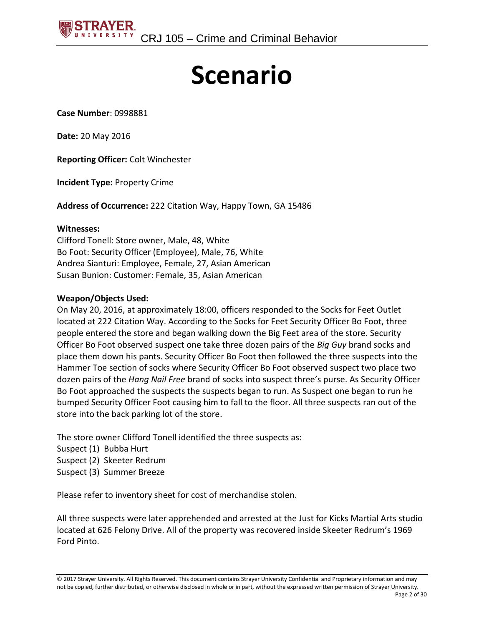<span id="page-1-0"></span>

## **Scenario**

**Case Number**: 0998881

**Date:** 20 May 2016

**Reporting Officer:** Colt Winchester

**Incident Type:** Property Crime

**Address of Occurrence:** 222 Citation Way, Happy Town, GA 15486

#### **Witnesses:**

Clifford Tonell: Store owner, Male, 48, White Bo Foot: Security Officer (Employee), Male, 76, White Andrea Sianturi: Employee, Female, 27, Asian American Susan Bunion: Customer: Female, 35, Asian American

#### **Weapon/Objects Used:**

On May 20, 2016, at approximately 18:00, officers responded to the Socks for Feet Outlet located at 222 Citation Way. According to the Socks for Feet Security Officer Bo Foot, three people entered the store and began walking down the Big Feet area of the store. Security Officer Bo Foot observed suspect one take three dozen pairs of the *Big Guy* brand socks and place them down his pants. Security Officer Bo Foot then followed the three suspects into the Hammer Toe section of socks where Security Officer Bo Foot observed suspect two place two dozen pairs of the *Hang Nail Free* brand of socks into suspect three's purse. As Security Officer Bo Foot approached the suspects the suspects began to run. As Suspect one began to run he bumped Security Officer Foot causing him to fall to the floor. All three suspects ran out of the store into the back parking lot of the store.

The store owner Clifford Tonell identified the three suspects as:

- Suspect (1) Bubba Hurt
- Suspect (2) Skeeter Redrum
- Suspect (3) Summer Breeze

Please refer to inventory sheet for cost of merchandise stolen.

All three suspects were later apprehended and arrested at the Just for Kicks Martial Arts studio located at 626 Felony Drive. All of the property was recovered inside Skeeter Redrum's 1969 Ford Pinto.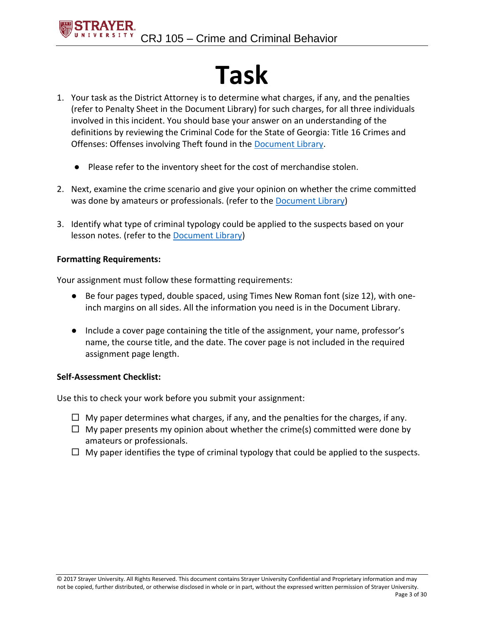## **Task**

- <span id="page-2-0"></span>1. Your task as the District Attorney is to determine what charges, if any, and the penalties (refer to Penalty Sheet in the Document Library) for such charges, for all three individuals involved in this incident. You should base your answer on an understanding of the definitions by reviewing the Criminal Code for the State of Georgia: Title 16 Crimes and Offenses: Offenses involving Theft found in the [Document Library.](#page-4-0)
	- Please refer to the inventory sheet for the cost of merchandise stolen.
- 2. Next, examine the crime scenario and give your opinion on whether the crime committed was done by amateurs or professionals. (refer to the **Document Library**)
- 3. Identify what type of criminal typology could be applied to the suspects based on your lesson notes. (refer to the [Document Library\)](#page-4-0)

#### **Formatting Requirements:**

Your assignment must follow these formatting requirements:

- Be four pages typed, double spaced, using Times New Roman font (size 12), with oneinch margins on all sides. All the information you need is in the Document Library.
- Include a cover page containing the title of the assignment, your name, professor's name, the course title, and the date. The cover page is not included in the required assignment page length.

#### **Self-Assessment Checklist:**

Use this to check your work before you submit your assignment:

- $\Box$  My paper determines what charges, if any, and the penalties for the charges, if any.
- $\Box$  My paper presents my opinion about whether the crime(s) committed were done by amateurs or professionals.
- $\Box$  My paper identifies the type of criminal typology that could be applied to the suspects.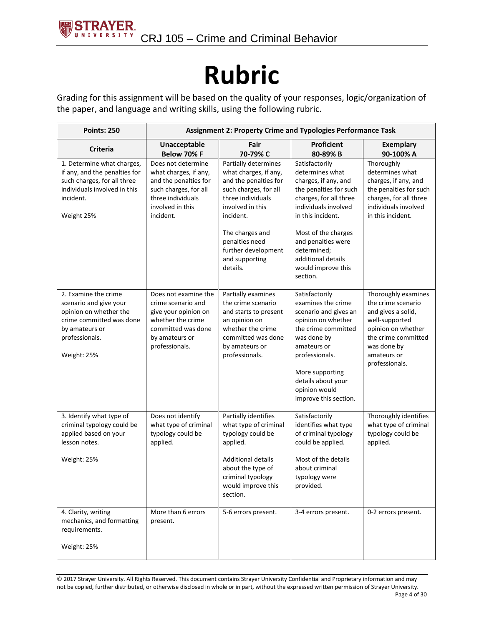## **Rubric**

<span id="page-3-0"></span>Grading for this assignment will be based on the quality of your responses, logic/organization of the paper, and language and writing skills, using the following rubric.

| <b>Points: 250</b>                                                                                                                                      | <b>Assignment 2: Property Crime and Typologies Performance Task</b>                                                                                 |                                                                                                                                                                                         |                                                                                                                                                                                                                                               |                                                                                                                                                                                |  |
|---------------------------------------------------------------------------------------------------------------------------------------------------------|-----------------------------------------------------------------------------------------------------------------------------------------------------|-----------------------------------------------------------------------------------------------------------------------------------------------------------------------------------------|-----------------------------------------------------------------------------------------------------------------------------------------------------------------------------------------------------------------------------------------------|--------------------------------------------------------------------------------------------------------------------------------------------------------------------------------|--|
| <b>Criteria</b>                                                                                                                                         | Unacceptable<br><b>Below 70% F</b>                                                                                                                  | Fair<br>70-79% C                                                                                                                                                                        | <b>Proficient</b><br>80-89% B                                                                                                                                                                                                                 | <b>Exemplary</b><br>90-100% A                                                                                                                                                  |  |
| 1. Determine what charges,<br>if any, and the penalties for<br>such charges, for all three<br>individuals involved in this<br>incident.<br>Weight 25%   | Does not determine<br>what charges, if any,<br>and the penalties for<br>such charges, for all<br>three individuals<br>involved in this<br>incident. | Partially determines<br>what charges, if any,<br>and the penalties for<br>such charges, for all<br>three individuals<br>involved in this<br>incident.                                   | Satisfactorily<br>determines what<br>charges, if any, and<br>the penalties for such<br>charges, for all three<br>individuals involved<br>in this incident.                                                                                    | Thoroughly<br>determines what<br>charges, if any, and<br>the penalties for such<br>charges, for all three<br>individuals involved<br>in this incident.                         |  |
|                                                                                                                                                         |                                                                                                                                                     | The charges and<br>penalties need<br>further development<br>and supporting<br>details.                                                                                                  | Most of the charges<br>and penalties were<br>determined;<br>additional details<br>would improve this<br>section.                                                                                                                              |                                                                                                                                                                                |  |
| 2. Examine the crime<br>scenario and give your<br>opinion on whether the<br>crime committed was done<br>by amateurs or<br>professionals.<br>Weight: 25% | Does not examine the<br>crime scenario and<br>give your opinion on<br>whether the crime<br>committed was done<br>by amateurs or<br>professionals.   | Partially examines<br>the crime scenario<br>and starts to present<br>an opinion on<br>whether the crime<br>committed was done<br>by amateurs or<br>professionals.                       | Satisfactorily<br>examines the crime<br>scenario and gives an<br>opinion on whether<br>the crime committed<br>was done by<br>amateurs or<br>professionals.<br>More supporting<br>details about your<br>opinion would<br>improve this section. | Thoroughly examines<br>the crime scenario<br>and gives a solid,<br>well-supported<br>opinion on whether<br>the crime committed<br>was done by<br>amateurs or<br>professionals. |  |
| 3. Identify what type of<br>criminal typology could be<br>applied based on your<br>lesson notes.<br>Weight: 25%                                         | Does not identify<br>what type of criminal<br>typology could be<br>applied.                                                                         | Partially identifies<br>what type of criminal<br>typology could be<br>applied.<br><b>Additional details</b><br>about the type of<br>criminal typology<br>would improve this<br>section. | Satisfactorily<br>identifies what type<br>of criminal typology<br>could be applied.<br>Most of the details<br>about criminal<br>typology were<br>provided.                                                                                    | Thoroughly identifies<br>what type of criminal<br>typology could be<br>applied.                                                                                                |  |
| 4. Clarity, writing<br>mechanics, and formatting<br>requirements.<br>Weight: 25%                                                                        | More than 6 errors<br>present.                                                                                                                      | 5-6 errors present.                                                                                                                                                                     | 3-4 errors present.                                                                                                                                                                                                                           | 0-2 errors present.                                                                                                                                                            |  |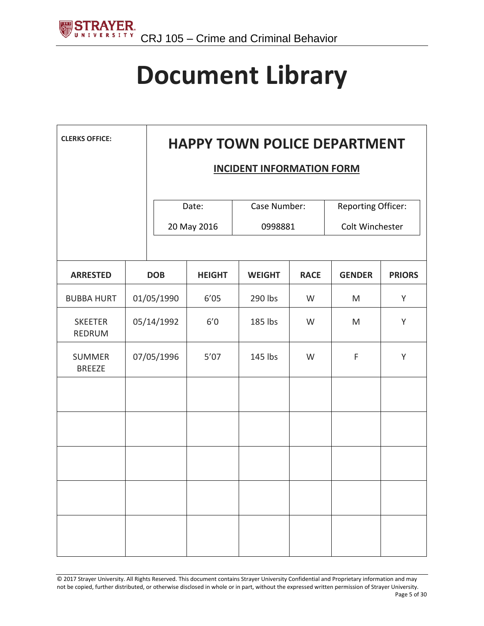<span id="page-4-0"></span>

## **Document Library**

| <b>CLERKS OFFICE:</b>           | <b>HAPPY TOWN POLICE DEPARTMENT</b> |                                  |                         |             |                                       |               |
|---------------------------------|-------------------------------------|----------------------------------|-------------------------|-------------|---------------------------------------|---------------|
|                                 |                                     | <b>INCIDENT INFORMATION FORM</b> |                         |             |                                       |               |
|                                 |                                     | Date:<br>20 May 2016             | Case Number:<br>0998881 |             | Reporting Officer:<br>Colt Winchester |               |
| <b>ARRESTED</b>                 | <b>DOB</b>                          | <b>HEIGHT</b>                    | <b>WEIGHT</b>           | <b>RACE</b> | <b>GENDER</b>                         | <b>PRIORS</b> |
| <b>BUBBA HURT</b>               | 01/05/1990                          | 6'05                             | 290 lbs                 | W           | M                                     | Y             |
| <b>SKEETER</b><br><b>REDRUM</b> | 05/14/1992                          | 6'0                              | 185 lbs                 | W           | M                                     | Y             |
| <b>SUMMER</b><br><b>BREEZE</b>  | 07/05/1996                          | $5'07$                           | 145 lbs                 | W           | $\mathsf F$                           | Y             |
|                                 |                                     |                                  |                         |             |                                       |               |
|                                 |                                     |                                  |                         |             |                                       |               |
|                                 |                                     |                                  |                         |             |                                       |               |
|                                 |                                     |                                  |                         |             |                                       |               |
|                                 |                                     |                                  |                         |             |                                       |               |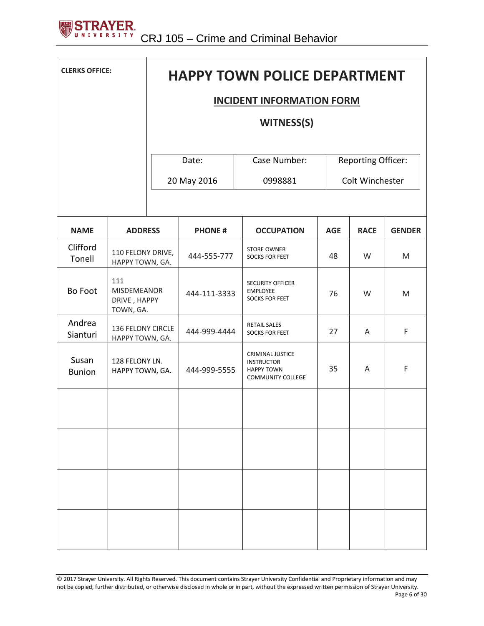

| <b>CLERKS OFFICE:</b>  |                                                        | <b>HAPPY TOWN POLICE DEPARTMENT</b> |                      |                                                                                               |            |                                              |               |  |
|------------------------|--------------------------------------------------------|-------------------------------------|----------------------|-----------------------------------------------------------------------------------------------|------------|----------------------------------------------|---------------|--|
|                        |                                                        | <b>INCIDENT INFORMATION FORM</b>    |                      |                                                                                               |            |                                              |               |  |
|                        |                                                        |                                     |                      | <b>WITNESS(S)</b>                                                                             |            |                                              |               |  |
|                        |                                                        |                                     | Date:<br>20 May 2016 | Case Number:<br>0998881                                                                       |            | <b>Reporting Officer:</b><br>Colt Winchester |               |  |
| <b>NAME</b>            | <b>ADDRESS</b>                                         |                                     | <b>PHONE#</b>        | <b>OCCUPATION</b>                                                                             | <b>AGE</b> | <b>RACE</b>                                  | <b>GENDER</b> |  |
| Clifford<br>Tonell     | 110 FELONY DRIVE,<br>HAPPY TOWN, GA.                   |                                     | 444-555-777          | <b>STORE OWNER</b><br><b>SOCKS FOR FEET</b>                                                   | 48         | W                                            | M             |  |
| <b>Bo Foot</b>         | 111<br><b>MISDEMEANOR</b><br>DRIVE, HAPPY<br>TOWN, GA. |                                     | 444-111-3333         | <b>SECURITY OFFICER</b><br><b>EMPLOYEE</b><br><b>SOCKS FOR FEET</b>                           | 76         | W                                            | M             |  |
| Andrea<br>Sianturi     | 136 FELONY CIRCLE<br>HAPPY TOWN, GA.                   |                                     | 444-999-4444         | <b>RETAIL SALES</b><br><b>SOCKS FOR FEET</b>                                                  | 27         | A                                            | F             |  |
| Susan<br><b>Bunion</b> | 128 FELONY LN.<br>HAPPY TOWN, GA.                      |                                     | 444-999-5555         | <b>CRIMINAL JUSTICE</b><br><b>INSTRUCTOR</b><br><b>HAPPY TOWN</b><br><b>COMMUNITY COLLEGE</b> | 35         | A                                            | F             |  |
|                        |                                                        |                                     |                      |                                                                                               |            |                                              |               |  |
|                        |                                                        |                                     |                      |                                                                                               |            |                                              |               |  |
|                        |                                                        |                                     |                      |                                                                                               |            |                                              |               |  |
|                        |                                                        |                                     |                      |                                                                                               |            |                                              |               |  |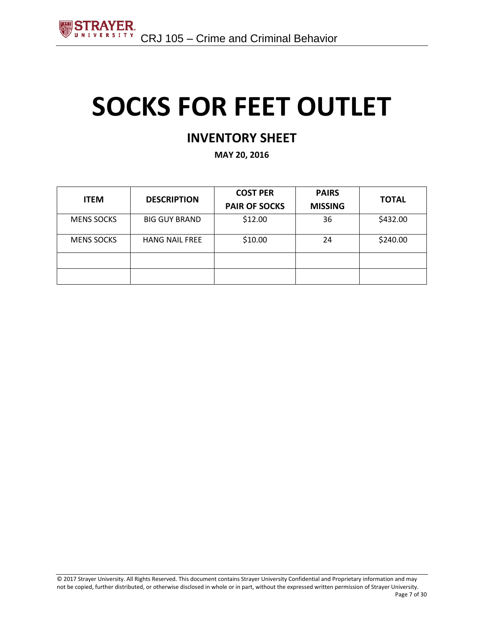## **SOCKS FOR FEET OUTLET**

### **INVENTORY SHEET**

**MAY 20, 2016**

| <b>ITEM</b>       | <b>DESCRIPTION</b>    | <b>COST PER</b><br><b>PAIR OF SOCKS</b> | <b>PAIRS</b><br><b>MISSING</b> | <b>TOTAL</b> |
|-------------------|-----------------------|-----------------------------------------|--------------------------------|--------------|
| <b>MENS SOCKS</b> | <b>BIG GUY BRAND</b>  | \$12.00                                 | 36                             | \$432.00     |
| <b>MENS SOCKS</b> | <b>HANG NAIL FREE</b> | \$10.00                                 | 24                             | \$240.00     |
|                   |                       |                                         |                                |              |
|                   |                       |                                         |                                |              |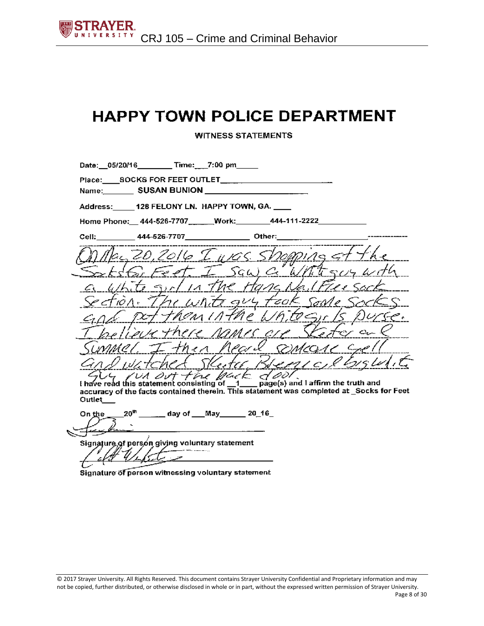**WITNESS STATEMENTS** 

| Date: 05/20/16 Time: 7:00 pm                               |  |                                                                                                                                                                                                                                |  |
|------------------------------------------------------------|--|--------------------------------------------------------------------------------------------------------------------------------------------------------------------------------------------------------------------------------|--|
| Name: SUSAN BUNION _____                                   |  |                                                                                                                                                                                                                                |  |
| Address: 128 FELONY LN. HAPPY TOWN, GA.                    |  |                                                                                                                                                                                                                                |  |
| Home Phone: 444-526-7707 ______Work: _______444-111-2222__ |  |                                                                                                                                                                                                                                |  |
|                                                            |  |                                                                                                                                                                                                                                |  |
| MAG 20, 2016 I Was Shopping at the                         |  |                                                                                                                                                                                                                                |  |
| Satisfactor I saw a Whitegory with                         |  |                                                                                                                                                                                                                                |  |
| a white girl in the Hang Nailflee sock                     |  |                                                                                                                                                                                                                                |  |
| Section. The white guy fook some socks                     |  |                                                                                                                                                                                                                                |  |
| and pot them in the White Sir Is purse.                    |  |                                                                                                                                                                                                                                |  |
| I believe there rames are Stefar on e                      |  |                                                                                                                                                                                                                                |  |
| Summer I than heard someone crell                          |  |                                                                                                                                                                                                                                |  |
| and watched Sketar Brenic Christolit                       |  |                                                                                                                                                                                                                                |  |
| TUS IVA OUT the back dool.                                 |  | the contract of the contract of the contract of the contract of the contract of the contract of the contract of the contract of the contract of the contract of the contract of the contract of the contract of the contract o |  |

I have read this statement consisting of 1 page(s) and I affirm the truth and<br>accuracy of the facts contained therein. This statement was completed at \_Socks for Feet Outlet\_

day of \_\_\_May\_\_\_\_\_\_\_20\_16\_  $20<sup>th</sup>$ On the

Signature, of person giving voluntary statement

Signature of person witnessing voluntary statement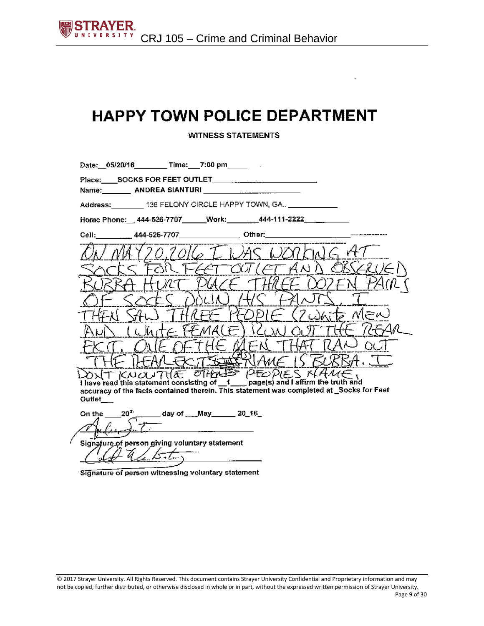$\Box$ 

**WITNESS STATEMENTS** 

|                         | Date: 05/20/16 _______ Time: __7:00 pm ____                                                                                                                                                                                                                                                                                                                                                                            |                                                                 |               |                                                                                          |
|-------------------------|------------------------------------------------------------------------------------------------------------------------------------------------------------------------------------------------------------------------------------------------------------------------------------------------------------------------------------------------------------------------------------------------------------------------|-----------------------------------------------------------------|---------------|------------------------------------------------------------------------------------------|
|                         | Place: SOCKS FOR FEET OUTLET<br>Name: ANDREA SIANTURI                                                                                                                                                                                                                                                                                                                                                                  |                                                                 |               |                                                                                          |
|                         | Address: _________ 136 FELONY CIRCLE HAPPY TOWN, GA ____________                                                                                                                                                                                                                                                                                                                                                       |                                                                 |               |                                                                                          |
|                         | Home Phone: 444-526-7707 _____Work: _______444-111-2222 _______                                                                                                                                                                                                                                                                                                                                                        |                                                                 |               |                                                                                          |
|                         | Cell: 444-526-7707 Other: 2011                                                                                                                                                                                                                                                                                                                                                                                         |                                                                 |               |                                                                                          |
|                         |                                                                                                                                                                                                                                                                                                                                                                                                                        | 6 T. I. 7AC                                                     |               |                                                                                          |
|                         |                                                                                                                                                                                                                                                                                                                                                                                                                        |                                                                 | <i>(ET</i> AN |                                                                                          |
|                         |                                                                                                                                                                                                                                                                                                                                                                                                                        |                                                                 |               |                                                                                          |
|                         |                                                                                                                                                                                                                                                                                                                                                                                                                        |                                                                 |               |                                                                                          |
|                         |                                                                                                                                                                                                                                                                                                                                                                                                                        |                                                                 |               | MEN                                                                                      |
|                         |                                                                                                                                                                                                                                                                                                                                                                                                                        |                                                                 |               |                                                                                          |
|                         | ルエイ                                                                                                                                                                                                                                                                                                                                                                                                                    |                                                                 |               |                                                                                          |
|                         |                                                                                                                                                                                                                                                                                                                                                                                                                        | $C$ $7$ $\rightarrow$ $\rightarrow$ $\rightarrow$ $\rightarrow$ |               |                                                                                          |
| Qutlet                  | $\sum_{\mathcal{N}}$ $\prod_{\mathcal{N}}$ $\bigcap_{\mathcal{N}}$ $\bigcup_{\mathcal{N}}$ $\bigcap_{\mathcal{N}}$ $\bigcup_{\mathcal{N}}$ $\bigcap_{\mathcal{N}}$ $\bigcup_{\mathcal{N}}$ $\bigcap_{\mathcal{N}}$ $\bigcup_{\mathcal{N}}$ $\bigcap_{\mathcal{N}}$ $\bigcup_{\mathcal{N}}$ $\bigcap_{\mathcal{N}}$ $\bigcup_{\mathcal{N}}$ $\bigcap_{\mathcal{N}}$ $\bigcup_{\mathcal{N}}$ $\bigcap_{\mathcal{N}}$ $\$ |                                                                 |               | accuracy of the facts contained therein. This statement was completed at _Socks for Feet |
| On the $20^{\text{th}}$ |                                                                                                                                                                                                                                                                                                                                                                                                                        |                                                                 |               |                                                                                          |
|                         | Signature of person giving voluntary statement                                                                                                                                                                                                                                                                                                                                                                         |                                                                 |               |                                                                                          |

Signature of person witnessing voluntary statement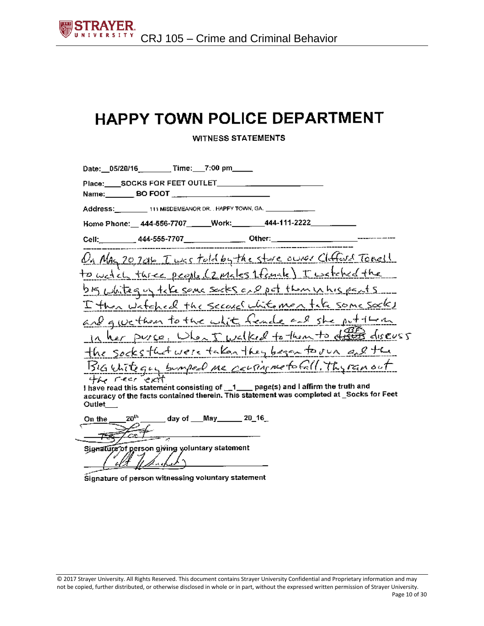**WITNESS STATEMENTS** 

| Address: 111 MISDEMEANOR DR. HAPPY TOWN, GA.<br>Home Phone:__ 444-556-7707______Work:________444-111-2222________<br>On Mag 20 2016 Twee told by the store ower Clufford Tonell<br>to wetch three people (2 males 1famale) I watched the |
|------------------------------------------------------------------------------------------------------------------------------------------------------------------------------------------------------------------------------------------|
|                                                                                                                                                                                                                                          |
|                                                                                                                                                                                                                                          |
|                                                                                                                                                                                                                                          |
|                                                                                                                                                                                                                                          |
|                                                                                                                                                                                                                                          |
|                                                                                                                                                                                                                                          |
| bis whitequy take some socks and pot thom in his pents                                                                                                                                                                                   |
| I then watched the second white men take some socks                                                                                                                                                                                      |
| and gue than to the white fende and she put them                                                                                                                                                                                         |
| In her purce, When I welked to them to differ diseass                                                                                                                                                                                    |
| the socks that were taken they besen to our and the                                                                                                                                                                                      |
| Bigutitegy surport me consigne to Gill. The ran out                                                                                                                                                                                      |
| I have read this statement consisting of _1___ page(s) and I affirm the truth and                                                                                                                                                        |

1 have read thi accuracy of the facts contained therein. This statement was completed at Socks for Feet Outlet\_

day of May 20\_16 On the

Signature of person giving voluntary statement

Signature of person witnessing voluntary statement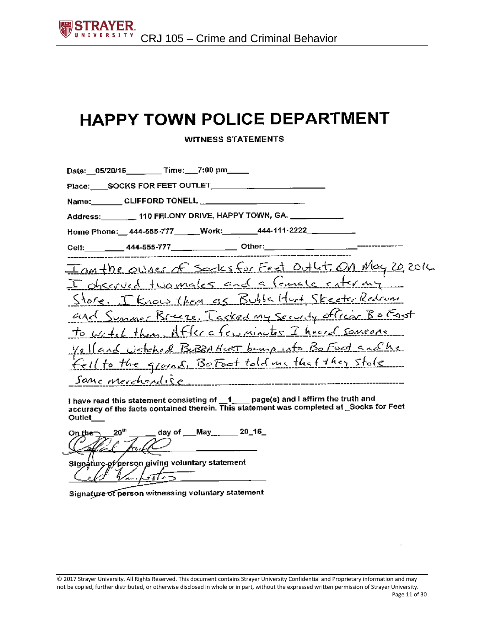**WITNESS STATEMENTS** 

| Date: 05/20/16 Time: 7:00 pm                                                                                  |
|---------------------------------------------------------------------------------------------------------------|
| Place: SOCKS FOR FEET OUTLET                                                                                  |
| Name: CLIFFORD TONELL CONDITIONS                                                                              |
| Address: 110 FELONY DRIVE, HAPPY TOWN, GA. 11. 12. 13. 13. 13. 13. 14. 15. 16. 17. 18. 18. 18. 18. 19. 19. 19 |
| Home Phone: 444-555-777 ____Work: 444-111-2222________                                                        |
| Cell:__________444-555-777_________________Other:________________________________                             |
| <u>Tanthe owner of sorks for Feet Out Lt. On May 20</u> 2016                                                  |
| I observed two males and a famale enter my                                                                    |
| Store. I know them as Bubbaldut Skeeter Redrum                                                                |
| and Sunner Bruce, Tacked my Security officer Bo East                                                          |
| to wetch than After a few minutes I heard someone                                                             |
| yelland wetched BUBRAHURT bump into BoFood and he                                                             |
| Fell to the ground, BoFoot told me that they stole                                                            |
| Sanc merchandise                                                                                              |

I have read this statement consisting of \_1\_\_ page(s) and I affirm the truth and accuracy of the facts contained therein. This statement was completed at Socks for Feet Outlet\_

May 20\_16\_ ንበ<sup>ሀ</sup> dav of

giving voluntary statement ′personi Sian átur

Signature of person witnessing voluntary statement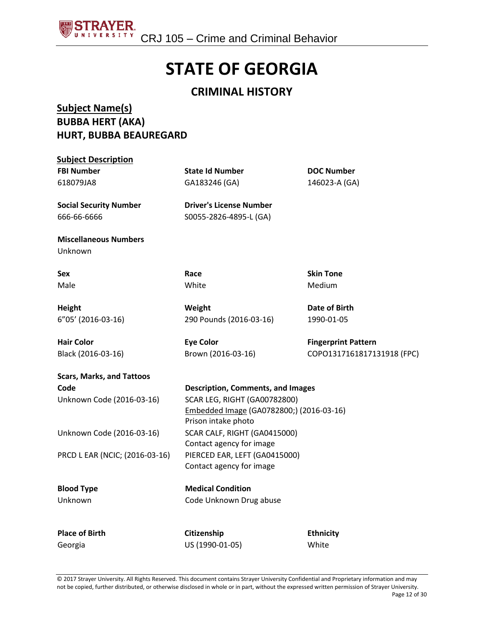

## **STATE OF GEORGIA**

#### **CRIMINAL HISTORY**

#### **Subject Name(s) BUBBA HERT (AKA) HURT, BUBBA BEAUREGARD**

| <b>Subject Description</b>       |                                          |                            |
|----------------------------------|------------------------------------------|----------------------------|
| <b>FBI Number</b>                | <b>State Id Number</b>                   | <b>DOC Number</b>          |
| 618079JA8                        | GA183246 (GA)                            | 146023-A (GA)              |
| <b>Social Security Number</b>    | <b>Driver's License Number</b>           |                            |
| 666-66-6666                      | S0055-2826-4895-L (GA)                   |                            |
| <b>Miscellaneous Numbers</b>     |                                          |                            |
| Unknown                          |                                          |                            |
| Sex                              | Race                                     | <b>Skin Tone</b>           |
| Male                             | White                                    | Medium                     |
| <b>Height</b>                    | Weight                                   | Date of Birth              |
| 6"05' (2016-03-16)               | 290 Pounds (2016-03-16)                  | 1990-01-05                 |
| <b>Hair Color</b>                | <b>Eye Color</b>                         | <b>Fingerprint Pattern</b> |
| Black (2016-03-16)               | Brown (2016-03-16)                       | COPO1317161817131918 (FPC) |
| <b>Scars, Marks, and Tattoos</b> |                                          |                            |
| Code                             | <b>Description, Comments, and Images</b> |                            |
| Unknown Code (2016-03-16)        | <b>SCAR LEG, RIGHT (GA00782800)</b>      |                            |
|                                  | Embedded Image (GA0782800;) (2016-03-16) |                            |
|                                  | Prison intake photo                      |                            |
| Unknown Code (2016-03-16)        | SCAR CALF, RIGHT (GA0415000)             |                            |
|                                  | Contact agency for image                 |                            |
| PRCD L EAR (NCIC; (2016-03-16)   | PIERCED EAR, LEFT (GA0415000)            |                            |
|                                  | Contact agency for image                 |                            |
| <b>Blood Type</b>                | <b>Medical Condition</b>                 |                            |
| Unknown                          | Code Unknown Drug abuse                  |                            |
|                                  |                                          |                            |
| <b>Place of Birth</b>            | Citizenship                              | <b>Ethnicity</b>           |
| Georgia                          | US (1990-01-05)                          | White                      |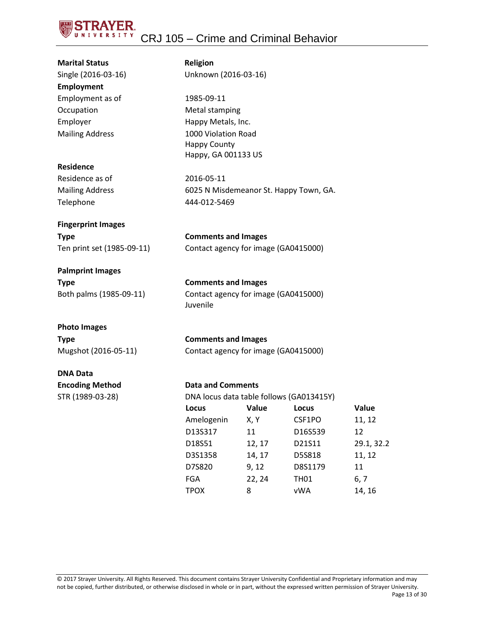

| <b>Marital Status</b>      | <b>Religion</b>                      |                                        |                                          |            |  |  |
|----------------------------|--------------------------------------|----------------------------------------|------------------------------------------|------------|--|--|
| Single (2016-03-16)        | Unknown (2016-03-16)                 |                                        |                                          |            |  |  |
| <b>Employment</b>          |                                      |                                        |                                          |            |  |  |
| Employment as of           |                                      | 1985-09-11                             |                                          |            |  |  |
| Occupation                 |                                      | <b>Metal stamping</b>                  |                                          |            |  |  |
| Employer                   | Happy Metals, Inc.                   |                                        |                                          |            |  |  |
| <b>Mailing Address</b>     | 1000 Violation Road                  |                                        |                                          |            |  |  |
|                            | <b>Happy County</b>                  |                                        |                                          |            |  |  |
| <b>Residence</b>           | Happy, GA 001133 US                  |                                        |                                          |            |  |  |
| Residence as of            | 2016-05-11                           |                                        |                                          |            |  |  |
| <b>Mailing Address</b>     |                                      | 6025 N Misdemeanor St. Happy Town, GA. |                                          |            |  |  |
| Telephone                  | 444-012-5469                         |                                        |                                          |            |  |  |
|                            |                                      |                                        |                                          |            |  |  |
| <b>Fingerprint Images</b>  |                                      |                                        |                                          |            |  |  |
| <b>Type</b>                | <b>Comments and Images</b>           |                                        |                                          |            |  |  |
| Ten print set (1985-09-11) | Contact agency for image (GA0415000) |                                        |                                          |            |  |  |
| <b>Palmprint Images</b>    |                                      |                                        |                                          |            |  |  |
| <b>Type</b>                | <b>Comments and Images</b>           |                                        |                                          |            |  |  |
| Both palms (1985-09-11)    |                                      | Contact agency for image (GA0415000)   |                                          |            |  |  |
|                            | Juvenile                             |                                        |                                          |            |  |  |
| <b>Photo Images</b>        |                                      |                                        |                                          |            |  |  |
| <b>Type</b>                | <b>Comments and Images</b>           |                                        |                                          |            |  |  |
| Mugshot (2016-05-11)       | Contact agency for image (GA0415000) |                                        |                                          |            |  |  |
| <b>DNA Data</b>            |                                      |                                        |                                          |            |  |  |
| <b>Encoding Method</b>     | <b>Data and Comments</b>             |                                        |                                          |            |  |  |
| STR (1989-03-28)           |                                      |                                        | DNA locus data table follows (GA013415Y) |            |  |  |
|                            | Locus                                | Value                                  | Locus                                    | Value      |  |  |
|                            | Amelogenin                           | X, Y                                   | CSF1PO                                   | 11, 12     |  |  |
|                            | D13S317                              | 11                                     | D16S539                                  | 12         |  |  |
|                            | D18S51                               | 12, 17                                 | D21S11                                   | 29.1, 32.2 |  |  |
|                            | D3S1358                              | 14, 17                                 | D5S818                                   | 11, 12     |  |  |
|                            | D7S820                               | 9, 12                                  | D8S1179                                  | 11         |  |  |
|                            | FGA                                  | 22, 24                                 | <b>TH01</b>                              | 6, 7       |  |  |

© 2017 Strayer University. All Rights Reserved. This document contains Strayer University Confidential and Proprietary information and may not be copied, further distributed, or otherwise disclosed in whole or in part, without the expressed written permission of Strayer University. Page 13 of 30

TPOX 8 vWA 14, 16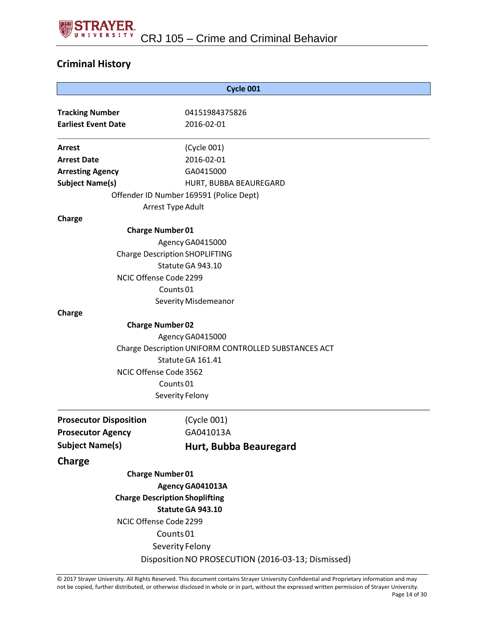

#### **Criminal History**

| Cycle 001                                            |                                                    |  |  |  |  |
|------------------------------------------------------|----------------------------------------------------|--|--|--|--|
|                                                      |                                                    |  |  |  |  |
| <b>Tracking Number</b><br><b>Earliest Event Date</b> | 04151984375826<br>2016-02-01                       |  |  |  |  |
|                                                      |                                                    |  |  |  |  |
| <b>Arrest</b>                                        | (Cycle 001)                                        |  |  |  |  |
| <b>Arrest Date</b>                                   | 2016-02-01                                         |  |  |  |  |
| <b>Arresting Agency</b>                              | GA0415000                                          |  |  |  |  |
| <b>Subject Name(s)</b>                               | HURT, BUBBA BEAUREGARD                             |  |  |  |  |
| Offender ID Number 169591 (Police Dept)              |                                                    |  |  |  |  |
| Arrest Type Adult                                    |                                                    |  |  |  |  |
| Charge                                               |                                                    |  |  |  |  |
| <b>Charge Number 01</b>                              |                                                    |  |  |  |  |
| Agency GA0415000                                     |                                                    |  |  |  |  |
| <b>Charge Description SHOPLIFTING</b>                |                                                    |  |  |  |  |
| Statute GA 943.10                                    |                                                    |  |  |  |  |
| NCIC Offense Code 2299                               |                                                    |  |  |  |  |
| Counts <sub>01</sub>                                 |                                                    |  |  |  |  |
| Severity Misdemeanor                                 |                                                    |  |  |  |  |
| Charge                                               |                                                    |  |  |  |  |
| <b>Charge Number 02</b>                              |                                                    |  |  |  |  |
|                                                      | Agency GA0415000                                   |  |  |  |  |
| Charge Description UNIFORM CONTROLLED SUBSTANCES ACT |                                                    |  |  |  |  |
| Statute GA 161.41                                    |                                                    |  |  |  |  |
| NCIC Offense Code 3562                               |                                                    |  |  |  |  |
|                                                      | Counts <sub>01</sub>                               |  |  |  |  |
|                                                      | Severity Felony                                    |  |  |  |  |
| <b>Prosecutor Disposition</b>                        | (Cycle 001)                                        |  |  |  |  |
| <b>Prosecutor Agency</b>                             | GA041013A                                          |  |  |  |  |
| <b>Subject Name(s)</b>                               | Hurt, Bubba Beauregard                             |  |  |  |  |
| Charge                                               |                                                    |  |  |  |  |
| <b>Charge Number 01</b>                              |                                                    |  |  |  |  |
|                                                      | Agency GA041013A                                   |  |  |  |  |
| <b>Charge Description Shoplifting</b>                |                                                    |  |  |  |  |
|                                                      | Statute GA 943.10                                  |  |  |  |  |
| NCIC Offense Code 2299                               |                                                    |  |  |  |  |
|                                                      | Counts <sub>01</sub>                               |  |  |  |  |
|                                                      | Severity Felony                                    |  |  |  |  |
|                                                      | Disposition NO PROSECUTION (2016-03-13; Dismissed) |  |  |  |  |
|                                                      |                                                    |  |  |  |  |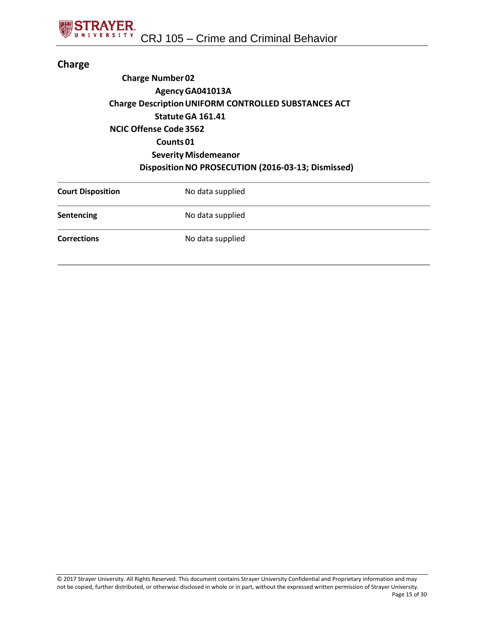#### **Charge**

#### **Charge Number 02 AgencyGA041013A Charge DescriptionUNIFORM CONTROLLED SUBSTANCES ACT StatuteGA 161.41 NCIC Offense Code 3562 Counts 01 Severity Misdemeanor DispositionNO PROSECUTION (2016-03-13; Dismissed)**

| <b>Court Disposition</b> | No data supplied |
|--------------------------|------------------|
| <b>Sentencing</b>        | No data supplied |
| <b>Corrections</b>       | No data supplied |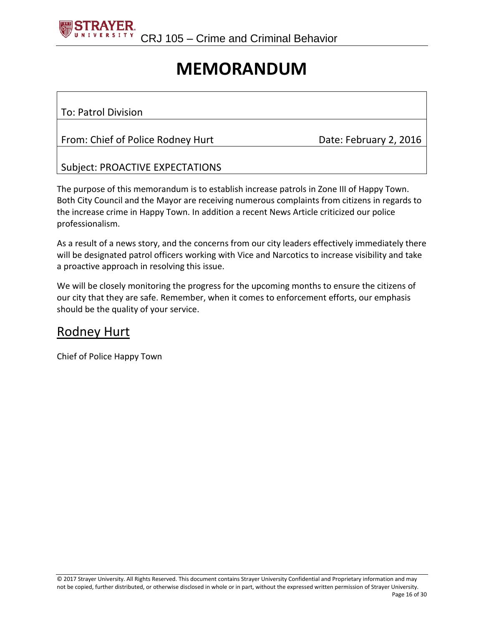

## **MEMORANDUM**

#### To: Patrol Division

#### From: Chief of Police Rodney Hurt Date: February 2, 2016

#### Subject: PROACTIVE EXPECTATIONS

The purpose of this memorandum is to establish increase patrols in Zone III of Happy Town. Both City Council and the Mayor are receiving numerous complaints from citizens in regards to the increase crime in Happy Town. In addition a recent News Article criticized our police professionalism.

As a result of a news story, and the concerns from our city leaders effectively immediately there will be designated patrol officers working with Vice and Narcotics to increase visibility and take a proactive approach in resolving this issue.

We will be closely monitoring the progress for the upcoming months to ensure the citizens of our city that they are safe. Remember, when it comes to enforcement efforts, our emphasis should be the quality of your service.

#### Rodney Hurt

Chief of Police Happy Town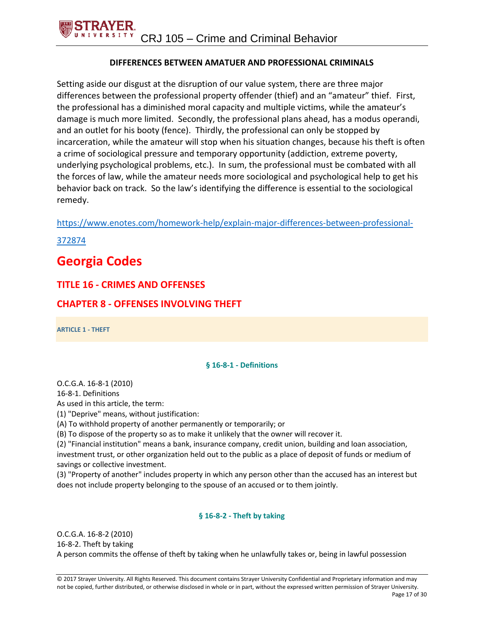#### **DIFFERENCES BETWEEN AMATUER AND PROFESSIONAL CRIMINALS**

Setting aside our disgust at the disruption of our value system, there are three major differences between the professional property offender (thief) and an "amateur" thief. First, the professional has a diminished moral capacity and multiple victims, while the amateur's damage is much more limited. Secondly, the professional plans ahead, has a modus operandi, and an outlet for his booty (fence). Thirdly, the professional can only be stopped by incarceration, while the amateur will stop when his situation changes, because his theft is often a crime of sociological pressure and temporary opportunity (addiction, extreme poverty, underlying psychological problems, etc.). In sum, the professional must be combated with all the forces of law, while the amateur needs more sociological and psychological help to get his behavior back on track. So the law's identifying the difference is essential to the sociological remedy.

[https://www.enotes.com/homework-help/explain-major-differences-between-professional-](https://www.enotes.com/homework-help/explain-major-differences-between-professional-372874)

[372874](https://www.enotes.com/homework-help/explain-major-differences-between-professional-372874)

### **Georgia Codes**

#### **TITLE 16 - CRIMES AND OFFENSES**

#### **CHAPTER 8 - OFFENSES INVOLVING THEFT**

**ARTICLE 1 - THEFT**

#### **§ 16-8-1 - Definitions**

O.C.G.A. 16-8-1 (2010) 16-8-1. Definitions

As used in this article, the term:

(1) "Deprive" means, without justification:

(A) To withhold property of another permanently or temporarily; or

(B) To dispose of the property so as to make it unlikely that the owner will recover it.

(2) "Financial institution" means a bank, insurance company, credit union, building and loan association, investment trust, or other organization held out to the public as a place of deposit of funds or medium of savings or collective investment.

(3) "Property of another" includes property in which any person other than the accused has an interest but does not include property belonging to the spouse of an accused or to them jointly.

#### **§ 16-8-2 - Theft by taking**

O.C.G.A. 16-8-2 (2010) 16-8-2. Theft by taking A person commits the offense of theft by taking when he unlawfully takes or, being in lawful possession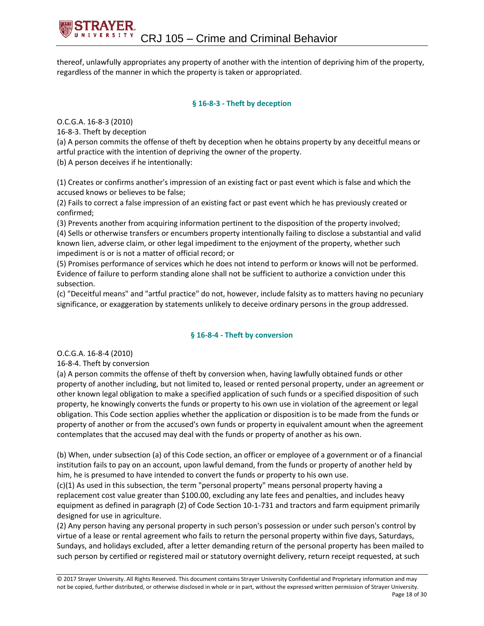thereof, unlawfully appropriates any property of another with the intention of depriving him of the property, regardless of the manner in which the property is taken or appropriated.

#### **§ 16-8-3 - Theft by deception**

O.C.G.A. 16-8-3 (2010)

16-8-3. Theft by deception

(a) A person commits the offense of theft by deception when he obtains property by any deceitful means or artful practice with the intention of depriving the owner of the property.

(b) A person deceives if he intentionally:

(1) Creates or confirms another's impression of an existing fact or past event which is false and which the accused knows or believes to be false;

(2) Fails to correct a false impression of an existing fact or past event which he has previously created or confirmed;

(3) Prevents another from acquiring information pertinent to the disposition of the property involved; (4) Sells or otherwise transfers or encumbers property intentionally failing to disclose a substantial and valid known lien, adverse claim, or other legal impediment to the enjoyment of the property, whether such impediment is or is not a matter of official record; or

(5) Promises performance of services which he does not intend to perform or knows will not be performed. Evidence of failure to perform standing alone shall not be sufficient to authorize a conviction under this subsection.

(c) "Deceitful means" and "artful practice" do not, however, include falsity as to matters having no pecuniary significance, or exaggeration by statements unlikely to deceive ordinary persons in the group addressed.

#### **§ 16-8-4 - Theft by conversion**

O.C.G.A. 16-8-4 (2010)

16-8-4. Theft by conversion

(a) A person commits the offense of theft by conversion when, having lawfully obtained funds or other property of another including, but not limited to, leased or rented personal property, under an agreement or other known legal obligation to make a specified application of such funds or a specified disposition of such property, he knowingly converts the funds or property to his own use in violation of the agreement or legal obligation. This Code section applies whether the application or disposition is to be made from the funds or property of another or from the accused's own funds or property in equivalent amount when the agreement contemplates that the accused may deal with the funds or property of another as his own.

(b) When, under subsection (a) of this Code section, an officer or employee of a government or of a financial institution fails to pay on an account, upon lawful demand, from the funds or property of another held by him, he is presumed to have intended to convert the funds or property to his own use.

(c)(1) As used in this subsection, the term "personal property" means personal property having a replacement cost value greater than \$100.00, excluding any late fees and penalties, and includes heavy equipment as defined in paragraph (2) of Code Section 10-1-731 and tractors and farm equipment primarily designed for use in agriculture.

(2) Any person having any personal property in such person's possession or under such person's control by virtue of a lease or rental agreement who fails to return the personal property within five days, Saturdays, Sundays, and holidays excluded, after a letter demanding return of the personal property has been mailed to such person by certified or registered mail or statutory overnight delivery, return receipt requested, at such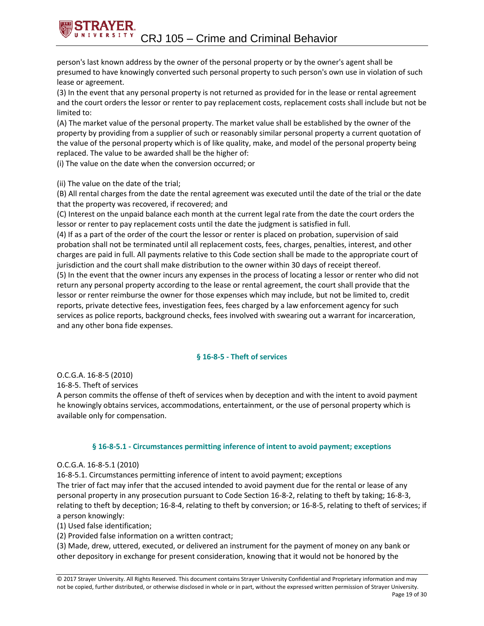person's last known address by the owner of the personal property or by the owner's agent shall be presumed to have knowingly converted such personal property to such person's own use in violation of such lease or agreement.

(3) In the event that any personal property is not returned as provided for in the lease or rental agreement and the court orders the lessor or renter to pay replacement costs, replacement costs shall include but not be limited to:

(A) The market value of the personal property. The market value shall be established by the owner of the property by providing from a supplier of such or reasonably similar personal property a current quotation of the value of the personal property which is of like quality, make, and model of the personal property being replaced. The value to be awarded shall be the higher of:

(i) The value on the date when the conversion occurred; or

(ii) The value on the date of the trial;

(B) All rental charges from the date the rental agreement was executed until the date of the trial or the date that the property was recovered, if recovered; and

(C) Interest on the unpaid balance each month at the current legal rate from the date the court orders the lessor or renter to pay replacement costs until the date the judgment is satisfied in full.

(4) If as a part of the order of the court the lessor or renter is placed on probation, supervision of said probation shall not be terminated until all replacement costs, fees, charges, penalties, interest, and other charges are paid in full. All payments relative to this Code section shall be made to the appropriate court of jurisdiction and the court shall make distribution to the owner within 30 days of receipt thereof.

(5) In the event that the owner incurs any expenses in the process of locating a lessor or renter who did not return any personal property according to the lease or rental agreement, the court shall provide that the lessor or renter reimburse the owner for those expenses which may include, but not be limited to, credit reports, private detective fees, investigation fees, fees charged by a law enforcement agency for such services as police reports, background checks, fees involved with swearing out a warrant for incarceration, and any other bona fide expenses.

#### **§ 16-8-5 - Theft of services**

O.C.G.A. 16-8-5 (2010)

16-8-5. Theft of services

A person commits the offense of theft of services when by deception and with the intent to avoid payment he knowingly obtains services, accommodations, entertainment, or the use of personal property which is available only for compensation.

#### **§ 16-8-5.1 - Circumstances permitting inference of intent to avoid payment; exceptions**

#### O.C.G.A. 16-8-5.1 (2010)

16-8-5.1. Circumstances permitting inference of intent to avoid payment; exceptions The trier of fact may infer that the accused intended to avoid payment due for the rental or lease of any personal property in any prosecution pursuant to Code Section 16-8-2, relating to theft by taking; 16-8-3, relating to theft by deception; 16-8-4, relating to theft by conversion; or 16-8-5, relating to theft of services; if

a person knowingly: (1) Used false identification;

(2) Provided false information on a written contract;

(3) Made, drew, uttered, executed, or delivered an instrument for the payment of money on any bank or other depository in exchange for present consideration, knowing that it would not be honored by the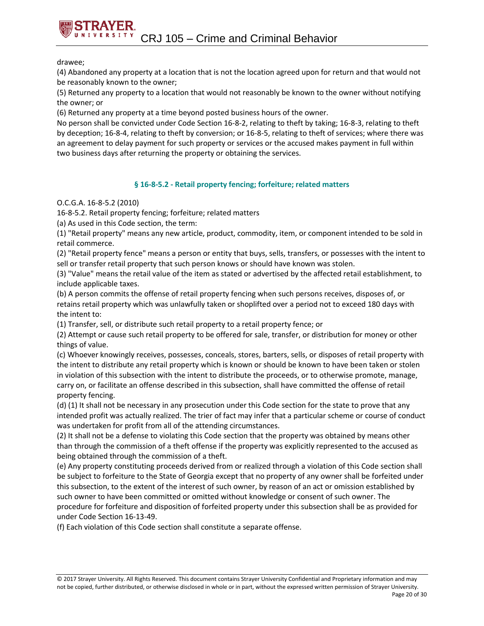drawee;

(4) Abandoned any property at a location that is not the location agreed upon for return and that would not be reasonably known to the owner;

(5) Returned any property to a location that would not reasonably be known to the owner without notifying the owner; or

(6) Returned any property at a time beyond posted business hours of the owner.

No person shall be convicted under Code Section 16-8-2, relating to theft by taking; 16-8-3, relating to theft by deception; 16-8-4, relating to theft by conversion; or 16-8-5, relating to theft of services; where there was an agreement to delay payment for such property or services or the accused makes payment in full within two business days after returning the property or obtaining the services.

#### **§ 16-8-5.2 - Retail property fencing; forfeiture; related matters**

#### O.C.G.A. 16-8-5.2 (2010)

16-8-5.2. Retail property fencing; forfeiture; related matters

(a) As used in this Code section, the term:

(1) "Retail property" means any new article, product, commodity, item, or component intended to be sold in retail commerce.

(2) "Retail property fence" means a person or entity that buys, sells, transfers, or possesses with the intent to sell or transfer retail property that such person knows or should have known was stolen.

(3) "Value" means the retail value of the item as stated or advertised by the affected retail establishment, to include applicable taxes.

(b) A person commits the offense of retail property fencing when such persons receives, disposes of, or retains retail property which was unlawfully taken or shoplifted over a period not to exceed 180 days with the intent to:

(1) Transfer, sell, or distribute such retail property to a retail property fence; or

(2) Attempt or cause such retail property to be offered for sale, transfer, or distribution for money or other things of value.

(c) Whoever knowingly receives, possesses, conceals, stores, barters, sells, or disposes of retail property with the intent to distribute any retail property which is known or should be known to have been taken or stolen in violation of this subsection with the intent to distribute the proceeds, or to otherwise promote, manage, carry on, or facilitate an offense described in this subsection, shall have committed the offense of retail property fencing.

(d) (1) It shall not be necessary in any prosecution under this Code section for the state to prove that any intended profit was actually realized. The trier of fact may infer that a particular scheme or course of conduct was undertaken for profit from all of the attending circumstances.

(2) It shall not be a defense to violating this Code section that the property was obtained by means other than through the commission of a theft offense if the property was explicitly represented to the accused as being obtained through the commission of a theft.

(e) Any property constituting proceeds derived from or realized through a violation of this Code section shall be subject to forfeiture to the State of Georgia except that no property of any owner shall be forfeited under this subsection, to the extent of the interest of such owner, by reason of an act or omission established by such owner to have been committed or omitted without knowledge or consent of such owner. The procedure for forfeiture and disposition of forfeited property under this subsection shall be as provided for under Code Section 16-13-49.

(f) Each violation of this Code section shall constitute a separate offense.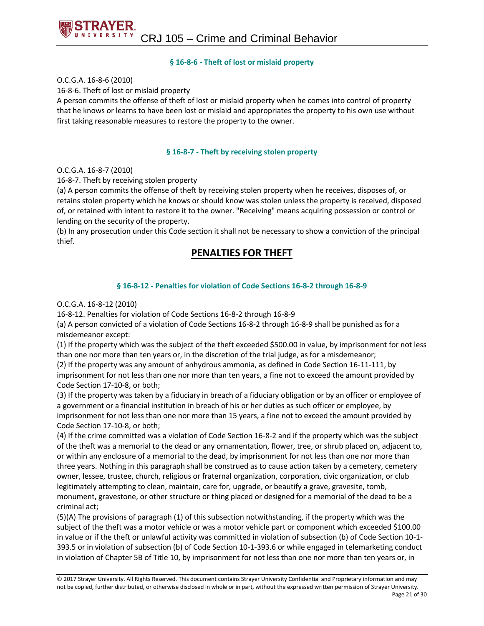#### **§ 16-8-6 - Theft of lost or mislaid property**

O.C.G.A. 16-8-6 (2010)

16-8-6. Theft of lost or mislaid property

A person commits the offense of theft of lost or mislaid property when he comes into control of property that he knows or learns to have been lost or mislaid and appropriates the property to his own use without first taking reasonable measures to restore the property to the owner.

#### **§ 16-8-7 - Theft by receiving stolen property**

O.C.G.A. 16-8-7 (2010)

16-8-7. Theft by receiving stolen property

(a) A person commits the offense of theft by receiving stolen property when he receives, disposes of, or retains stolen property which he knows or should know was stolen unless the property is received, disposed of, or retained with intent to restore it to the owner. "Receiving" means acquiring possession or control or lending on the security of the property.

(b) In any prosecution under this Code section it shall not be necessary to show a conviction of the principal thief.

#### **PENALTIES FOR THEFT**

#### **§ 16-8-12 - Penalties for violation of Code Sections 16-8-2 through 16-8-9**

#### O.C.G.A. 16-8-12 (2010)

16-8-12. Penalties for violation of Code Sections 16-8-2 through 16-8-9

(a) A person convicted of a violation of Code Sections 16-8-2 through 16-8-9 shall be punished as for a misdemeanor except:

(1) If the property which was the subject of the theft exceeded \$500.00 in value, by imprisonment for not less than one nor more than ten years or, in the discretion of the trial judge, as for a misdemeanor;

(2) If the property was any amount of anhydrous ammonia, as defined in Code Section 16-11-111, by imprisonment for not less than one nor more than ten years, a fine not to exceed the amount provided by Code Section 17-10-8, or both;

(3) If the property was taken by a fiduciary in breach of a fiduciary obligation or by an officer or employee of a government or a financial institution in breach of his or her duties as such officer or employee, by imprisonment for not less than one nor more than 15 years, a fine not to exceed the amount provided by Code Section 17-10-8, or both;

(4) If the crime committed was a violation of Code Section 16-8-2 and if the property which was the subject of the theft was a memorial to the dead or any ornamentation, flower, tree, or shrub placed on, adjacent to, or within any enclosure of a memorial to the dead, by imprisonment for not less than one nor more than three years. Nothing in this paragraph shall be construed as to cause action taken by a cemetery, cemetery owner, lessee, trustee, church, religious or fraternal organization, corporation, civic organization, or club legitimately attempting to clean, maintain, care for, upgrade, or beautify a grave, gravesite, tomb, monument, gravestone, or other structure or thing placed or designed for a memorial of the dead to be a criminal act;

(5)(A) The provisions of paragraph (1) of this subsection notwithstanding, if the property which was the subject of the theft was a motor vehicle or was a motor vehicle part or component which exceeded \$100.00 in value or if the theft or unlawful activity was committed in violation of subsection (b) of Code Section 10-1- 393.5 or in violation of subsection (b) of Code Section 10-1-393.6 or while engaged in telemarketing conduct in violation of Chapter 5B of Title 10, by imprisonment for not less than one nor more than ten years or, in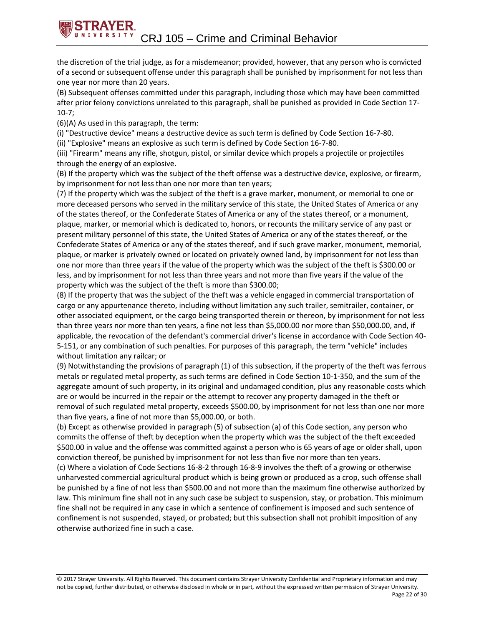the discretion of the trial judge, as for a misdemeanor; provided, however, that any person who is convicted of a second or subsequent offense under this paragraph shall be punished by imprisonment for not less than one year nor more than 20 years.

(B) Subsequent offenses committed under this paragraph, including those which may have been committed after prior felony convictions unrelated to this paragraph, shall be punished as provided in Code Section 17- 10-7;

(6)(A) As used in this paragraph, the term:

(i) "Destructive device" means a destructive device as such term is defined by Code Section 16-7-80.

(ii) "Explosive" means an explosive as such term is defined by Code Section 16-7-80.

(iii) "Firearm" means any rifle, shotgun, pistol, or similar device which propels a projectile or projectiles through the energy of an explosive.

(B) If the property which was the subject of the theft offense was a destructive device, explosive, or firearm, by imprisonment for not less than one nor more than ten years;

(7) If the property which was the subject of the theft is a grave marker, monument, or memorial to one or more deceased persons who served in the military service of this state, the United States of America or any of the states thereof, or the Confederate States of America or any of the states thereof, or a monument, plaque, marker, or memorial which is dedicated to, honors, or recounts the military service of any past or present military personnel of this state, the United States of America or any of the states thereof, or the Confederate States of America or any of the states thereof, and if such grave marker, monument, memorial, plaque, or marker is privately owned or located on privately owned land, by imprisonment for not less than one nor more than three years if the value of the property which was the subject of the theft is \$300.00 or less, and by imprisonment for not less than three years and not more than five years if the value of the property which was the subject of the theft is more than \$300.00;

(8) If the property that was the subject of the theft was a vehicle engaged in commercial transportation of cargo or any appurtenance thereto, including without limitation any such trailer, semitrailer, container, or other associated equipment, or the cargo being transported therein or thereon, by imprisonment for not less than three years nor more than ten years, a fine not less than \$5,000.00 nor more than \$50,000.00, and, if applicable, the revocation of the defendant's commercial driver's license in accordance with Code Section 40- 5-151, or any combination of such penalties. For purposes of this paragraph, the term "vehicle" includes without limitation any railcar; or

(9) Notwithstanding the provisions of paragraph (1) of this subsection, if the property of the theft was ferrous metals or regulated metal property, as such terms are defined in Code Section 10-1-350, and the sum of the aggregate amount of such property, in its original and undamaged condition, plus any reasonable costs which are or would be incurred in the repair or the attempt to recover any property damaged in the theft or removal of such regulated metal property, exceeds \$500.00, by imprisonment for not less than one nor more than five years, a fine of not more than \$5,000.00, or both.

(b) Except as otherwise provided in paragraph (5) of subsection (a) of this Code section, any person who commits the offense of theft by deception when the property which was the subject of the theft exceeded \$500.00 in value and the offense was committed against a person who is 65 years of age or older shall, upon conviction thereof, be punished by imprisonment for not less than five nor more than ten years.

(c) Where a violation of Code Sections 16-8-2 through 16-8-9 involves the theft of a growing or otherwise unharvested commercial agricultural product which is being grown or produced as a crop, such offense shall be punished by a fine of not less than \$500.00 and not more than the maximum fine otherwise authorized by law. This minimum fine shall not in any such case be subject to suspension, stay, or probation. This minimum fine shall not be required in any case in which a sentence of confinement is imposed and such sentence of confinement is not suspended, stayed, or probated; but this subsection shall not prohibit imposition of any otherwise authorized fine in such a case.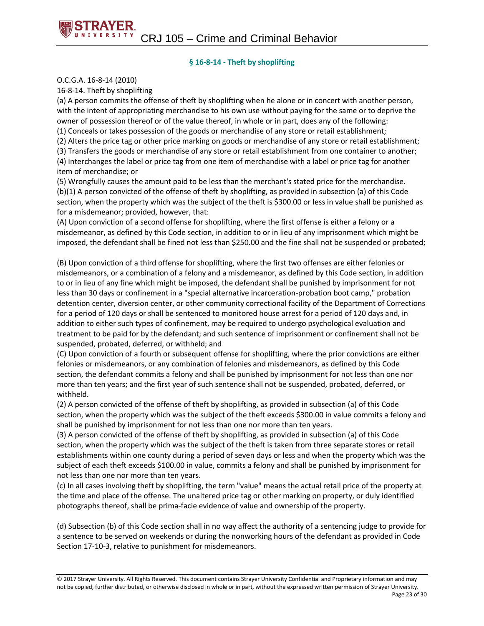#### **§ 16-8-14 - Theft by shoplifting**

O.C.G.A. 16-8-14 (2010)

16-8-14. Theft by shoplifting

(a) A person commits the offense of theft by shoplifting when he alone or in concert with another person, with the intent of appropriating merchandise to his own use without paying for the same or to deprive the owner of possession thereof or of the value thereof, in whole or in part, does any of the following: (1) Conceals or takes possession of the goods or merchandise of any store or retail establishment;

(2) Alters the price tag or other price marking on goods or merchandise of any store or retail establishment;

(3) Transfers the goods or merchandise of any store or retail establishment from one container to another; (4) Interchanges the label or price tag from one item of merchandise with a label or price tag for another item of merchandise; or

(5) Wrongfully causes the amount paid to be less than the merchant's stated price for the merchandise. (b)(1) A person convicted of the offense of theft by shoplifting, as provided in subsection (a) of this Code section, when the property which was the subject of the theft is \$300.00 or less in value shall be punished as for a misdemeanor; provided, however, that:

(A) Upon conviction of a second offense for shoplifting, where the first offense is either a felony or a misdemeanor, as defined by this Code section, in addition to or in lieu of any imprisonment which might be imposed, the defendant shall be fined not less than \$250.00 and the fine shall not be suspended or probated;

(B) Upon conviction of a third offense for shoplifting, where the first two offenses are either felonies or misdemeanors, or a combination of a felony and a misdemeanor, as defined by this Code section, in addition to or in lieu of any fine which might be imposed, the defendant shall be punished by imprisonment for not less than 30 days or confinement in a "special alternative incarceration-probation boot camp," probation detention center, diversion center, or other community correctional facility of the Department of Corrections for a period of 120 days or shall be sentenced to monitored house arrest for a period of 120 days and, in addition to either such types of confinement, may be required to undergo psychological evaluation and treatment to be paid for by the defendant; and such sentence of imprisonment or confinement shall not be suspended, probated, deferred, or withheld; and

(C) Upon conviction of a fourth or subsequent offense for shoplifting, where the prior convictions are either felonies or misdemeanors, or any combination of felonies and misdemeanors, as defined by this Code section, the defendant commits a felony and shall be punished by imprisonment for not less than one nor more than ten years; and the first year of such sentence shall not be suspended, probated, deferred, or withheld.

(2) A person convicted of the offense of theft by shoplifting, as provided in subsection (a) of this Code section, when the property which was the subject of the theft exceeds \$300.00 in value commits a felony and shall be punished by imprisonment for not less than one nor more than ten years.

(3) A person convicted of the offense of theft by shoplifting, as provided in subsection (a) of this Code section, when the property which was the subject of the theft is taken from three separate stores or retail establishments within one county during a period of seven days or less and when the property which was the subject of each theft exceeds \$100.00 in value, commits a felony and shall be punished by imprisonment for not less than one nor more than ten years.

(c) In all cases involving theft by shoplifting, the term "value" means the actual retail price of the property at the time and place of the offense. The unaltered price tag or other marking on property, or duly identified photographs thereof, shall be prima-facie evidence of value and ownership of the property.

(d) Subsection (b) of this Code section shall in no way affect the authority of a sentencing judge to provide for a sentence to be served on weekends or during the nonworking hours of the defendant as provided in Code Section 17-10-3, relative to punishment for misdemeanors.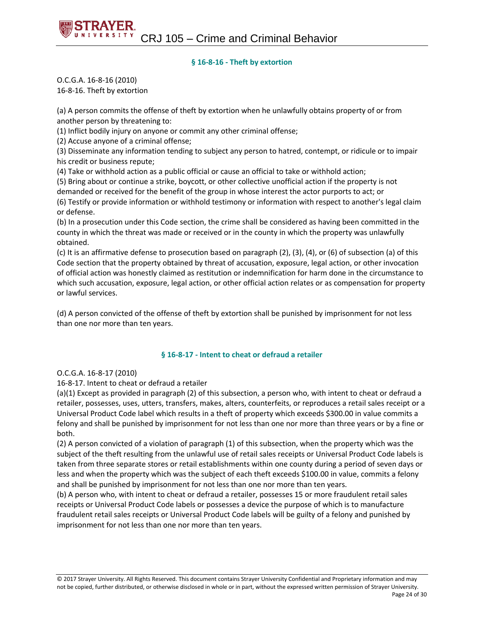#### **§ 16-8-16 - Theft by extortion**

O.C.G.A. 16-8-16 (2010) 16-8-16. Theft by extortion

(a) A person commits the offense of theft by extortion when he unlawfully obtains property of or from another person by threatening to:

(1) Inflict bodily injury on anyone or commit any other criminal offense;

(2) Accuse anyone of a criminal offense;

(3) Disseminate any information tending to subject any person to hatred, contempt, or ridicule or to impair his credit or business repute;

(4) Take or withhold action as a public official or cause an official to take or withhold action;

(5) Bring about or continue a strike, boycott, or other collective unofficial action if the property is not demanded or received for the benefit of the group in whose interest the actor purports to act; or

(6) Testify or provide information or withhold testimony or information with respect to another's legal claim or defense.

(b) In a prosecution under this Code section, the crime shall be considered as having been committed in the county in which the threat was made or received or in the county in which the property was unlawfully obtained.

(c) It is an affirmative defense to prosecution based on paragraph (2), (3), (4), or (6) of subsection (a) of this Code section that the property obtained by threat of accusation, exposure, legal action, or other invocation of official action was honestly claimed as restitution or indemnification for harm done in the circumstance to which such accusation, exposure, legal action, or other official action relates or as compensation for property or lawful services.

(d) A person convicted of the offense of theft by extortion shall be punished by imprisonment for not less than one nor more than ten years.

#### **§ 16-8-17 - Intent to cheat or defraud a retailer**

#### O.C.G.A. 16-8-17 (2010)

16-8-17. Intent to cheat or defraud a retailer

(a)(1) Except as provided in paragraph (2) of this subsection, a person who, with intent to cheat or defraud a retailer, possesses, uses, utters, transfers, makes, alters, counterfeits, or reproduces a retail sales receipt or a Universal Product Code label which results in a theft of property which exceeds \$300.00 in value commits a felony and shall be punished by imprisonment for not less than one nor more than three years or by a fine or both.

(2) A person convicted of a violation of paragraph (1) of this subsection, when the property which was the subject of the theft resulting from the unlawful use of retail sales receipts or Universal Product Code labels is taken from three separate stores or retail establishments within one county during a period of seven days or less and when the property which was the subject of each theft exceeds \$100.00 in value, commits a felony and shall be punished by imprisonment for not less than one nor more than ten years.

(b) A person who, with intent to cheat or defraud a retailer, possesses 15 or more fraudulent retail sales receipts or Universal Product Code labels or possesses a device the purpose of which is to manufacture fraudulent retail sales receipts or Universal Product Code labels will be guilty of a felony and punished by imprisonment for not less than one nor more than ten years.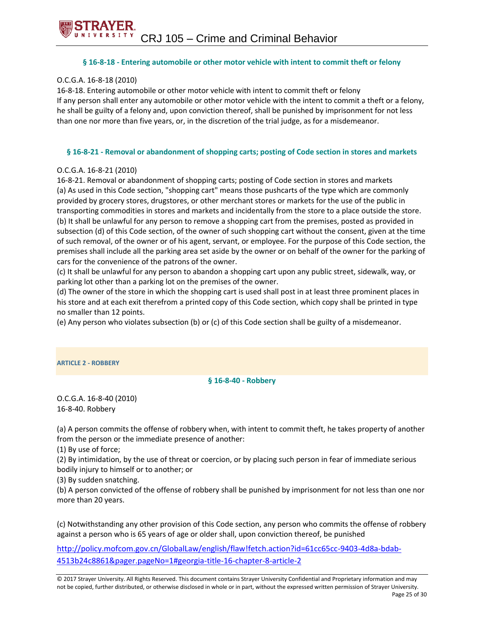#### **§ 16-8-18 - Entering automobile or other motor vehicle with intent to commit theft or felony**

#### O.C.G.A. 16-8-18 (2010)

16-8-18. Entering automobile or other motor vehicle with intent to commit theft or felony If any person shall enter any automobile or other motor vehicle with the intent to commit a theft or a felony, he shall be guilty of a felony and, upon conviction thereof, shall be punished by imprisonment for not less than one nor more than five years, or, in the discretion of the trial judge, as for a misdemeanor.

#### **§ 16-8-21 - Removal or abandonment of shopping carts; posting of Code section in stores and markets**

#### O.C.G.A. 16-8-21 (2010)

16-8-21. Removal or abandonment of shopping carts; posting of Code section in stores and markets (a) As used in this Code section, "shopping cart" means those pushcarts of the type which are commonly provided by grocery stores, drugstores, or other merchant stores or markets for the use of the public in transporting commodities in stores and markets and incidentally from the store to a place outside the store. (b) It shall be unlawful for any person to remove a shopping cart from the premises, posted as provided in subsection (d) of this Code section, of the owner of such shopping cart without the consent, given at the time of such removal, of the owner or of his agent, servant, or employee. For the purpose of this Code section, the premises shall include all the parking area set aside by the owner or on behalf of the owner for the parking of cars for the convenience of the patrons of the owner.

(c) It shall be unlawful for any person to abandon a shopping cart upon any public street, sidewalk, way, or parking lot other than a parking lot on the premises of the owner.

(d) The owner of the store in which the shopping cart is used shall post in at least three prominent places in his store and at each exit therefrom a printed copy of this Code section, which copy shall be printed in type no smaller than 12 points.

(e) Any person who violates subsection (b) or (c) of this Code section shall be guilty of a misdemeanor.

#### **ARTICLE 2 - ROBBERY**

#### **§ 16-8-40 - Robbery**

O.C.G.A. 16-8-40 (2010) 16-8-40. Robbery

(a) A person commits the offense of robbery when, with intent to commit theft, he takes property of another from the person or the immediate presence of another:

(1) By use of force;

(2) By intimidation, by the use of threat or coercion, or by placing such person in fear of immediate serious bodily injury to himself or to another; or

(3) By sudden snatching.

(b) A person convicted of the offense of robbery shall be punished by imprisonment for not less than one nor more than 20 years.

(c) Notwithstanding any other provision of this Code section, any person who commits the offense of robbery against a person who is 65 years of age or older shall, upon conviction thereof, be punished

[http://policy.mofcom.gov.cn/GlobalLaw/english/flaw!fetch.action?id=61cc65cc-9403-4d8a-bdab-](http://policy.mofcom.gov.cn/GlobalLaw/english/flaw!fetch.action?id=61cc65cc-9403-4d8a-bdab-4513b24c8861&pager.pageNo=1#georgia-title-16-chapter-8-article-2)[4513b24c8861&pager.pageNo=1#georgia-title-16-chapter-8-article-2](http://policy.mofcom.gov.cn/GlobalLaw/english/flaw!fetch.action?id=61cc65cc-9403-4d8a-bdab-4513b24c8861&pager.pageNo=1#georgia-title-16-chapter-8-article-2)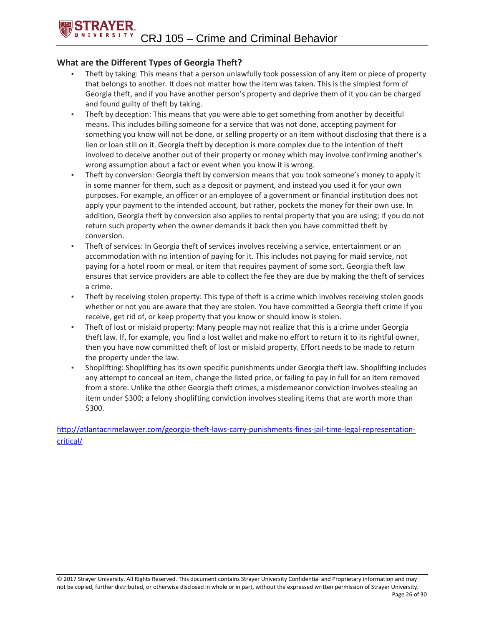#### **What are the Different Types of Georgia Theft?**

- Theft by taking: This means that a person unlawfully took possession of any item or piece of property that belongs to another. It does not matter how the item was taken. This is the simplest form of Georgia theft, and if you have another person's property and deprive them of it you can be charged and found guilty of theft by taking.
- Theft by deception: This means that you were able to get something from another by deceitful means. This includes billing someone for a service that was not done, accepting payment for something you know will not be done, or selling property or an item without disclosing that there is a lien or loan still on it. Georgia theft by deception is more complex due to the intention of theft involved to deceive another out of their property or money which may involve confirming another's wrong assumption about a fact or event when you know it is wrong.
- Theft by conversion: Georgia theft by conversion means that you took someone's money to apply it in some manner for them, such as a deposit or payment, and instead you used it for your own purposes. For example, an officer or an employee of a government or financial institution does not apply your payment to the intended account, but rather, pockets the money for their own use. In addition, Georgia theft by conversion also applies to rental property that you are using; if you do not return such property when the owner demands it back then you have committed theft by conversion.
- Theft of services: In Georgia theft of services involves receiving a service, entertainment or an accommodation with no intention of paying for it. This includes not paying for maid service, not paying for a hotel room or meal, or item that requires payment of some sort. Georgia theft law ensures that service providers are able to collect the fee they are due by making the theft of services a crime.
- Theft by receiving stolen property: This type of theft is a crime which involves receiving stolen goods whether or not you are aware that they are stolen. You have committed a Georgia theft crime if you receive, get rid of, or keep property that you know or should know is stolen.
- Theft of lost or mislaid property: Many people may not realize that this is a crime under Georgia theft law. If, for example, you find a lost wallet and make no effort to return it to its rightful owner, then you have now committed theft of lost or mislaid property. Effort needs to be made to return the property under the law.
- Shoplifting: Shoplifting has its own specific punishments under Georgia theft law. Shoplifting includes any attempt to conceal an item, change the listed price, or failing to pay in full for an item removed from a store. Unlike the other Georgia theft crimes, a misdemeanor conviction involves stealing an item under \$300; a felony shoplifting conviction involves stealing items that are worth more than \$300.

[http://atlantacrimelawyer.com/georgia-theft-laws-carry-punishments-fines-jail-time-legal-representation](http://atlantacrimelawyer.com/georgia-theft-laws-carry-punishments-fines-jail-time-legal-representation-critical/)[critical/](http://atlantacrimelawyer.com/georgia-theft-laws-carry-punishments-fines-jail-time-legal-representation-critical/)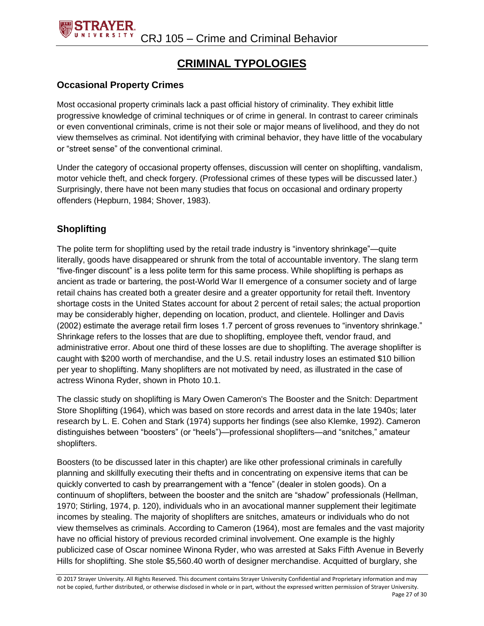

#### **CRIMINAL TYPOLOGIES**

#### **Occasional Property Crimes**

Most occasional property criminals lack a past official history of criminality. They exhibit little progressive knowledge of criminal techniques or of crime in general. In contrast to career criminals or even conventional criminals, crime is not their sole or major means of livelihood, and they do not view themselves as criminal. Not identifying with criminal behavior, they have little of the vocabulary or "street sense" of the conventional criminal.

Under the category of occasional property offenses, discussion will center on shoplifting, vandalism, motor vehicle theft, and check forgery. (Professional crimes of these types will be discussed later.) Surprisingly, there have not been many studies that focus on occasional and ordinary property offenders (Hepburn, 1984; Shover, 1983).

#### **Shoplifting**

The polite term for shoplifting used by the retail trade industry is "inventory shrinkage"—quite literally, goods have disappeared or shrunk from the total of accountable inventory. The slang term "five-finger discount" is a less polite term for this same process. While shoplifting is perhaps as ancient as trade or bartering, the post-World War II emergence of a consumer society and of large retail chains has created both a greater desire and a greater opportunity for retail theft. Inventory shortage costs in the United States account for about 2 percent of retail sales; the actual proportion may be considerably higher, depending on location, product, and clientele. Hollinger and Davis (2002) estimate the average retail firm loses 1.7 percent of gross revenues to "inventory shrinkage." Shrinkage refers to the losses that are due to shoplifting, employee theft, vendor fraud, and administrative error. About one third of these losses are due to shoplifting. The average shoplifter is caught with \$200 worth of merchandise, and the U.S. retail industry loses an estimated \$10 billion per year to shoplifting. Many shoplifters are not motivated by need, as illustrated in the case of actress Winona Ryder, shown in Photo 10.1.

The classic study on shoplifting is Mary Owen Cameron's The Booster and the Snitch: Department Store Shoplifting (1964), which was based on store records and arrest data in the late 1940s; later research by L. E. Cohen and Stark (1974) supports her findings (see also Klemke, 1992). Cameron distinguishes between "boosters" (or "heels")—professional shoplifters—and "snitches," amateur shoplifters.

Boosters (to be discussed later in this chapter) are like other professional criminals in carefully planning and skillfully executing their thefts and in concentrating on expensive items that can be quickly converted to cash by prearrangement with a "fence" (dealer in stolen goods). On a continuum of shoplifters, between the booster and the snitch are "shadow" professionals (Hellman, 1970; Stirling, 1974, p. 120), individuals who in an avocational manner supplement their legitimate incomes by stealing. The majority of shoplifters are snitches, amateurs or individuals who do not view themselves as criminals. According to Cameron (1964), most are females and the vast majority have no official history of previous recorded criminal involvement. One example is the highly publicized case of Oscar nominee Winona Ryder, who was arrested at Saks Fifth Avenue in Beverly Hills for shoplifting. She stole \$5,560.40 worth of designer merchandise. Acquitted of burglary, she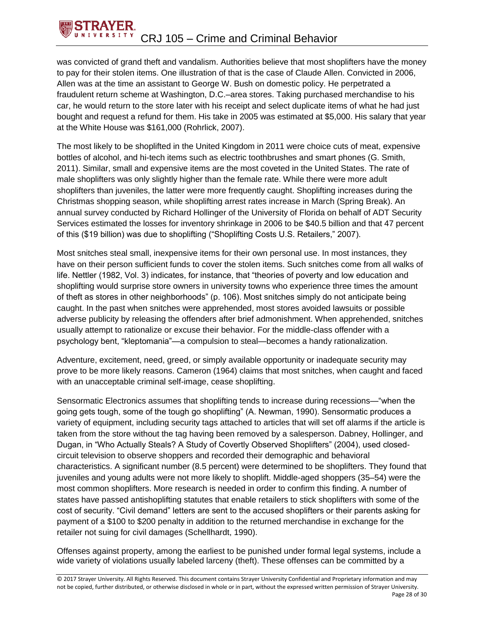

was convicted of grand theft and vandalism. Authorities believe that most shoplifters have the money to pay for their stolen items. One illustration of that is the case of Claude Allen. Convicted in 2006, Allen was at the time an assistant to George W. Bush on domestic policy. He perpetrated a fraudulent return scheme at Washington, D.C.–area stores. Taking purchased merchandise to his car, he would return to the store later with his receipt and select duplicate items of what he had just bought and request a refund for them. His take in 2005 was estimated at \$5,000. His salary that year at the White House was \$161,000 (Rohrlick, 2007).

The most likely to be shoplifted in the United Kingdom in 2011 were choice cuts of meat, expensive bottles of alcohol, and hi-tech items such as electric toothbrushes and smart phones (G. Smith, 2011). Similar, small and expensive items are the most coveted in the United States. The rate of male shoplifters was only slightly higher than the female rate. While there were more adult shoplifters than juveniles, the latter were more frequently caught. Shoplifting increases during the Christmas shopping season, while shoplifting arrest rates increase in March (Spring Break). An annual survey conducted by Richard Hollinger of the University of Florida on behalf of ADT Security Services estimated the losses for inventory shrinkage in 2006 to be \$40.5 billion and that 47 percent of this (\$19 billion) was due to shoplifting ("Shoplifting Costs U.S. Retailers," 2007).

Most snitches steal small, inexpensive items for their own personal use. In most instances, they have on their person sufficient funds to cover the stolen items. Such snitches come from all walks of life. Nettler (1982, Vol. 3) indicates, for instance, that "theories of poverty and low education and shoplifting would surprise store owners in university towns who experience three times the amount of theft as stores in other neighborhoods" (p. 106). Most snitches simply do not anticipate being caught. In the past when snitches were apprehended, most stores avoided lawsuits or possible adverse publicity by releasing the offenders after brief admonishment. When apprehended, snitches usually attempt to rationalize or excuse their behavior. For the middle-class offender with a psychology bent, "kleptomania"—a compulsion to steal—becomes a handy rationalization.

Adventure, excitement, need, greed, or simply available opportunity or inadequate security may prove to be more likely reasons. Cameron (1964) claims that most snitches, when caught and faced with an unacceptable criminal self-image, cease shoplifting.

Sensormatic Electronics assumes that shoplifting tends to increase during recessions—"when the going gets tough, some of the tough go shoplifting" (A. Newman, 1990). Sensormatic produces a variety of equipment, including security tags attached to articles that will set off alarms if the article is taken from the store without the tag having been removed by a salesperson. Dabney, Hollinger, and Dugan, in "Who Actually Steals? A Study of Covertly Observed Shoplifters" (2004), used closedcircuit television to observe shoppers and recorded their demographic and behavioral characteristics. A significant number (8.5 percent) were determined to be shoplifters. They found that juveniles and young adults were not more likely to shoplift. Middle-aged shoppers (35–54) were the most common shoplifters. More research is needed in order to confirm this finding. A number of states have passed antishoplifting statutes that enable retailers to stick shoplifters with some of the cost of security. "Civil demand" letters are sent to the accused shoplifters or their parents asking for payment of a \$100 to \$200 penalty in addition to the returned merchandise in exchange for the retailer not suing for civil damages (Schellhardt, 1990).

Offenses against property, among the earliest to be punished under formal legal systems, include a wide variety of violations usually labeled larceny (theft). These offenses can be committed by a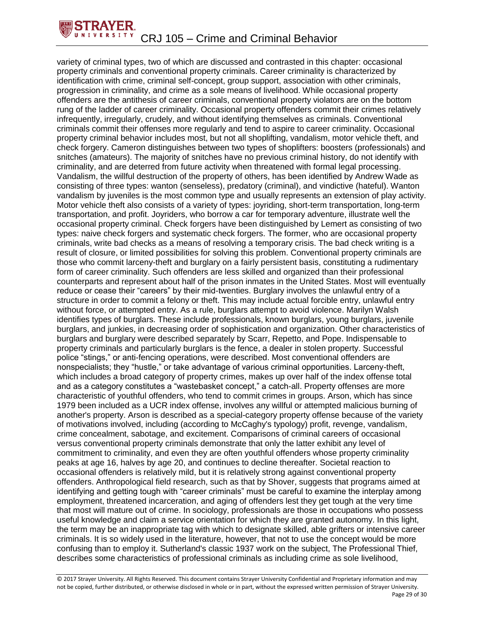

variety of criminal types, two of which are discussed and contrasted in this chapter: occasional property criminals and conventional property criminals. Career criminality is characterized by identification with crime, criminal self-concept, group support, association with other criminals, progression in criminality, and crime as a sole means of livelihood. While occasional property offenders are the antithesis of career criminals, conventional property violators are on the bottom rung of the ladder of career criminality. Occasional property offenders commit their crimes relatively infrequently, irregularly, crudely, and without identifying themselves as criminals. Conventional criminals commit their offenses more regularly and tend to aspire to career criminality. Occasional property criminal behavior includes most, but not all shoplifting, vandalism, motor vehicle theft, and check forgery. Cameron distinguishes between two types of shoplifters: boosters (professionals) and snitches (amateurs). The majority of snitches have no previous criminal history, do not identify with criminality, and are deterred from future activity when threatened with formal legal processing. Vandalism, the willful destruction of the property of others, has been identified by Andrew Wade as consisting of three types: wanton (senseless), predatory (criminal), and vindictive (hateful). Wanton vandalism by juveniles is the most common type and usually represents an extension of play activity. Motor vehicle theft also consists of a variety of types: joyriding, short-term transportation, long-term transportation, and profit. Joyriders, who borrow a car for temporary adventure, illustrate well the occasional property criminal. Check forgers have been distinguished by Lemert as consisting of two types: naive check forgers and systematic check forgers. The former, who are occasional property criminals, write bad checks as a means of resolving a temporary crisis. The bad check writing is a result of closure, or limited possibilities for solving this problem. Conventional property criminals are those who commit larceny-theft and burglary on a fairly persistent basis, constituting a rudimentary form of career criminality. Such offenders are less skilled and organized than their professional counterparts and represent about half of the prison inmates in the United States. Most will eventually reduce or cease their "careers" by their mid-twenties. Burglary involves the unlawful entry of a structure in order to commit a felony or theft. This may include actual forcible entry, unlawful entry without force, or attempted entry. As a rule, burglars attempt to avoid violence. Marilyn Walsh identifies types of burglars. These include professionals, known burglars, young burglars, juvenile burglars, and junkies, in decreasing order of sophistication and organization. Other characteristics of burglars and burglary were described separately by Scarr, Repetto, and Pope. Indispensable to property criminals and particularly burglars is the fence, a dealer in stolen property. Successful police "stings," or anti-fencing operations, were described. Most conventional offenders are nonspecialists; they "hustle," or take advantage of various criminal opportunities. Larceny-theft, which includes a broad category of property crimes, makes up over half of the index offense total and as a category constitutes a "wastebasket concept," a catch-all. Property offenses are more characteristic of youthful offenders, who tend to commit crimes in groups. Arson, which has since 1979 been included as a UCR index offense, involves any willful or attempted malicious burning of another's property. Arson is described as a special-category property offense because of the variety of motivations involved, including (according to McCaghy's typology) profit, revenge, vandalism, crime concealment, sabotage, and excitement. Comparisons of criminal careers of occasional versus conventional property criminals demonstrate that only the latter exhibit any level of commitment to criminality, and even they are often youthful offenders whose property criminality peaks at age 16, halves by age 20, and continues to decline thereafter. Societal reaction to occasional offenders is relatively mild, but it is relatively strong against conventional property offenders. Anthropological field research, such as that by Shover, suggests that programs aimed at identifying and getting tough with "career criminals" must be careful to examine the interplay among employment, threatened incarceration, and aging of offenders lest they get tough at the very time that most will mature out of crime. In sociology, professionals are those in occupations who possess useful knowledge and claim a service orientation for which they are granted autonomy. In this light, the term may be an inappropriate tag with which to designate skilled, able grifters or intensive career criminals. It is so widely used in the literature, however, that not to use the concept would be more confusing than to employ it. Sutherland's classic 1937 work on the subject, The Professional Thief, describes some characteristics of professional criminals as including crime as sole livelihood,